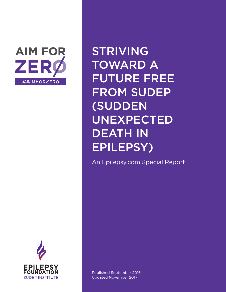

STRIVING TOWARD A FUTURE FREE FROM SUDEP (SUDDEN UNEXPECTED DEATH IN EPILEPSY)

An Epilepsy.com Special Report



Published September 2016 Updated November 2017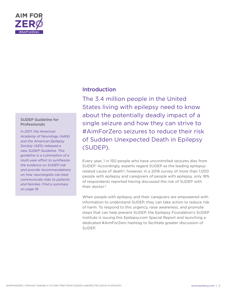

#### SUDEP Guideline for Professionals

*In 2017, the American Academy of Neurology (AAN) and the American Epilepsy Society (AES) released a new SUDEP Guideline. This guideline is a culmination of a multi-year effort to synthesize the evidence on SUDEP risk and provide recommendations on how neurologists can best communicate risks to patients and families. Find a summary on page 16.*

# Introduction

The 3.4 million people in the United States living with epilepsy need to know about the potentially deadly impact of a single seizure and how they can strive to #AimForZero seizures to reduce their risk of Sudden Unexpected Death in Epilepsy (SUDEP).

Every year, 1 in 150 people who have uncontrolled seizures dies from SUDEP.<sup>1</sup> Accordingly, experts regard SUDEP as the leading epilepsyrelated cause of death<sup>2</sup>; however, in a 2016 survey of more than 1,000 people with epilepsy and caregivers of people with epilepsy, only 18% of respondents reported having discussed the risk of SUDEP with their doctor.<sup>3</sup>

When people with epilepsy and their caregivers are empowered with information to understand SUDEP, they can take action to reduce risk of harm. To respond to this urgency, raise awareness, and promote steps that can help prevent SUDEP, the Epilepsy Foundation's SUDEP Institute is issuing this Epilepsy.com Special Report and launching a dedicated #AimForZero hashtag to facilitate greater discussion of SUDEP.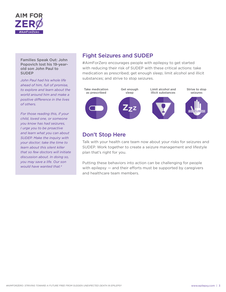

#### Families Speak Out: John Popovich lost his 19-yearold son John Paul to **SUDEP**

*John Paul had his whole life ahead of him, full of promise, to explore and learn about the world around him and make a positive difference in the lives of others.*

*For those reading this, if your child, loved one, or someone you know has had seizures, I urge you to be proactive and learn what you can about SUDEP. Make the inquiry with your doctor; take the time to learn about this silent killer that so few doctors will initiate discussion about. In doing so, you may save a life. Our son would have wanted that.4*

# Fight Seizures and SUDEP

#AimForZero encourages people with epilepsy to get started with reducing their risk of SUDEP with these critical actions: take medication as prescribed; get enough sleep; limit alcohol and illicit substances; and strive to stop seizures.



# Don't Stop Here

Talk with your health care team now about your risks for seizures and SUDEP. Work together to create a seizure management and lifestyle plan that's right for you.

Putting these behaviors into action can be challenging for people with epilepsy — and their efforts must be supported by caregivers and healthcare team members.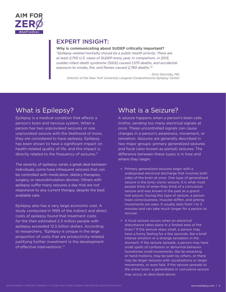

#### **Why is communicating about SUDEP critically important?**

*"Epilepsy-related mortality should be a public health priority. There are at least 2,750 U.S. cases of SUDEP every year. In comparison, in 2013, sudden infant death syndrome (SIDS) caused 1,575 deaths, and accidental exposure to smoke, fire, and flames caused 2,760 deaths."5*

*- Orrin Devinsky, MD, Director of the New York University Langone Comprehensive Epilepsy Center.*

# What is Epilepsy?

Epilepsy is a medical condition that affects a person's brain and nervous system. When a person has two unprovoked seizures or one unprovoked seizure with the likelihood of more, they are considered to have epilepsy. Epilepsy has been shown to have a significant impact on health-related quality of life, and this impact is directly related to the frequency of seizures.<sup>6</sup>

The severity of epilepsy varies a great deal between individuals; some have infrequent seizures that can be controlled with medication, dietary therapies, surgery, or neurostimulation devices. Others with epilepsy suffer many seizures a day that are not responsive to any current therapy, despite the best available care.

Epilepsy also has a very large economic cost. A study conducted in 1995 of the indirect and direct costs of epilepsy found that treatment costs for the then estimated 2.3 million people with epilepsy exceeded 12.5 billion dollars. According to researchers, "Epilepsy is unique in the large proportion of costs that are productivity-related, justifying further investment in the development of effective interventions."7

# What is a Seizure?

A seizure happens when a person's brain cells misfire, sending too many electrical signals at once. These uncontrolled signals can cause changes in a person's awareness, movement, or sensation. Seizures are generally described in two major groups: primary generalized seizures and focal (also known as partial) seizures. The difference between these types is in how and where they begin.

- + Primary generalized seizures begin with a widespread electrical discharge that involves both sides of the brain at once. One type of generalized seizure is the tonic-clonic seizure. It is what most people think of when they think of a convulsive seizure and was known in the past as a grand mal seizure. During this type of seizure, a person loses consciousness, muscles stiffen, and jerking movements are seen. It usually lasts from 1 to 3 minutes and can take much longer for a person to recover.
- + A focal seizure occurs when an electrical disturbance takes place in a limited area of the brain.<sup>8</sup> If the seizure stays small, a person may have a funny feeling for a few seconds, like a brief intense emotion or a strange sensation in the stomach. If the seizure spreads, a person may have small spells of confusion or abnormal behavior. Sometimes small movements, like lip-smacking or hand motions, may be seen by others, or there may be larger seizures with vocalizations or larger movements, or even falls. If the seizure spreads to the entire brain, a generalized or convulsive seizure may occur, as described above.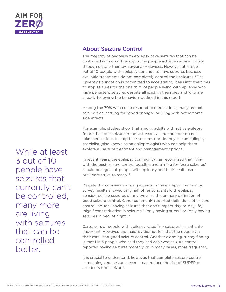

# About Seizure Control

The majority of people with epilepsy have seizures that can be controlled with drug therapy. Some people achieve seizure control through dietary therapy, surgery, or devices. However, at least 3 out of 10 people with epilepsy continue to have seizures because available treatments do not completely control their seizures.<sup>9</sup> The Epilepsy Foundation is committed to accelerating ideas into therapies to stop seizures for the one third of people living with epilepsy who have persistent seizures despite all existing therapies and who are already following the behaviors outlined in this report.

Among the 70% who could respond to medications, many are not seizure free, settling for "good enough" or living with bothersome side effects.

For example, studies show that among adults with active epilepsy (more than one seizure in the last year), a large number do not take medications to stop their seizures nor do they see an epilepsy specialist (also known as an epileptologist) who can help them explore all seizure treatment and management options.

In recent years, the epilepsy community has recognized that living with the best seizure control possible and aiming for "zero seizures" should be a goal all people with epilepsy and their health care providers strive to reach.10

Despite this consensus among experts in the epilepsy community, survey results showed only half of respondents with epilepsy considered "no seizures of any type" as the primary definition of good seizure control. Other commonly reported definitions of seizure control include "having seizures that don't impact day-to-day life," "significant reduction in seizures," "only having auras," or "only having seizures in bed, at night."<sup>11</sup>

Caregivers of people with epilepsy rated "no seizures" as critically important. However, the majority did not feel that the people (in their care) had good seizure control. Another alarming survey finding is that 1 in 3 people who said they had achieved seizure control reported having seizures monthly or, in many cases, more frequently.

It is crucial to understand, however, that complete seizure control — meaning zero seizures ever — can reduce the risk of SUDEP or accidents from seizures.

While at least 3 out of 10 people have seizures that currently can't be controlled, many more are living with seizures that can be controlled better.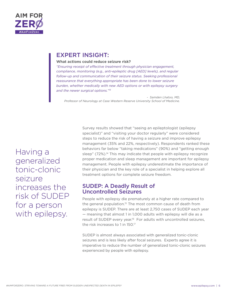

#### **What actions could reduce seizure risk?**

*"Ensuring receipt of effective treatment through physician engagement, compliance, monitoring (e.g., anti-epileptic drug [AED] levels), and regular follow-up and communication of their seizure status. Seeking professional reassurance that everything appropriate has been done to lower seizure burden, whether medically with new AED options or with epilepsy surgery and the newer surgical options."13* 

*- Samden Lhatoo, MD, Professor of Neurology at Case Western Reserve University School of Medicine.*

Having a generalized tonic-clonic seizure increases the risk of SUDEP for a person with epilepsy.

Survey results showed that "seeing an epileptologist (epilepsy specialist)" and "visiting your doctor regularly" were considered steps to reduce the risk of having a seizure and improve epilepsy management (35% and 22%, respectively). Respondents ranked these behaviors far below "taking medications" (90%) and "getting enough sleep" (72%).<sup>14</sup> This may indicate that people with epilepsy recognize proper medication and sleep management are important for epilepsy management. People with epilepsy underestimate the importance of their physician and the key role of a specialist in helping explore all treatment options for complete seizure freedom.

### SUDEP: A Deadly Result of Uncontrolled Seizures

People with epilepsy die prematurely at a higher rate compared to the general population.<sup>15</sup> The most common cause of death from epilepsy is SUDEP. There are at least 2,750 cases of SUDEP each year — meaning that almost 1 in 1,000 adults with epilepsy will die as a result of SUDEP every year.<sup>16</sup> For adults with uncontrolled seizures, the risk increases to 1 in 150.<sup>17</sup>

SUDEP is almost always associated with generalized tonic-clonic seizures and is less likely after focal seizures. Experts agree it is imperative to reduce the number of generalized tonic-clonic seizures experienced by people with epilepsy.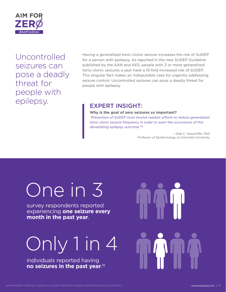

Uncontrolled seizures can pose a deadly threat for people with epilepsy.<br> **EXPERT INSIGHT:** 

Having a generalized tonic-clonic seizure increases the risk of SUDEP for a person with epilepsy. As reported in the new SUDEP Guideline published by the AAN and AES, people with 3 or more generalized tonic-clonic seizures a year have a 15-fold increased risk of SUDEP. This singular fact makes an indisputable case for urgently addressing seizure control. Uncontrolled seizures can pose a deadly threat for people with epilepsy.

#### **Why is the goal of zero seizures so important?**

*"Prevention of SUDEP must involve realistic efforts to reduce generalized tonic-clonic seizure frequency in order to avert the occurrence of this devastating epilepsy outcome."18*

> *- Dale C. Hesdorffer, PhD, Professor of Epidemiology at Columbia University.*

# One in 3

survey respondents reported experiencing **one seizure every month in the past year**.

# Only 1 in 4

individuals reported having **no seizures in the past year**. 19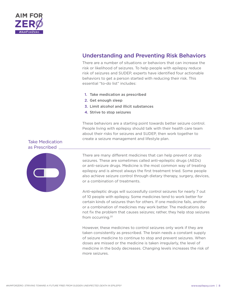

# Understanding and Preventing Risk Behaviors

There are a number of situations or behaviors that can increase the risk or likelihood of seizures. To help people with epilepsy reduce risk of seizures and SUDEP, experts have identified four actionable behaviors to get a person started with reducing their risk. This essential "to-do list" includes:

- 1. Take medication as prescribed
- 2. Get enough sleep
- 3. Limit alcohol and illicit substances
- 4. Strive to stop seizures

These behaviors are a starting point towards better seizure control. People living with epilepsy should talk with their health care team about their risks for seizures and SUDEP, then work together to create a seizure management and lifestyle plan.

#### Take Medication as Prescribed



There are many different medicines that can help prevent or stop seizures. These are sometimes called anti-epileptic drugs (AEDs) or anti-seizure drugs. Medicine is the most common way of treating epilepsy and is almost always the first treatment tried. Some people also achieve seizure control through dietary therapy, surgery, devices, or a combination of treatments.

Anti-epileptic drugs will successfully control seizures for nearly 7 out of 10 people with epilepsy. Some medicines tend to work better for certain kinds of seizures than for others. If one medicine fails, another or a combination of medicines may work better. The medications do not fix the problem that causes seizures; rather, they help stop seizures from occurring.20

However, these medicines to control seizures only work if they are taken consistently as prescribed. The brain needs a constant supply of seizure medicine to continue to stop and prevent seizures. When doses are missed or the medicine is taken irregularly, the level of medicine in the body decreases. Changing levels increases the risk of more seizures.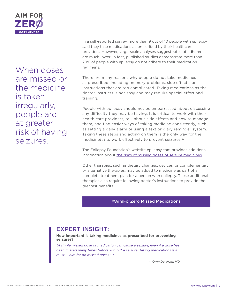

When doses are missed or the medicine is taken irregularly, people are at greater risk of having seizures.

In a self-reported survey, more than 9 out of 10 people with epilepsy said they take medications as prescribed by their healthcare providers. However, large-scale analyses suggest rates of adherence are much lower; in fact, published studies demonstrate more than 70% of people with epilepsy do not adhere to their medication regimens.21

There are many reasons why people do not take medicines as prescribed, including memory problems, side effects, or instructions that are too complicated. Taking medications as the doctor instructs is not easy and may require special effort and training.

People with epilepsy should not be embarrassed about discussing any difficulty they may be having. It is critical to work with their health care providers, talk about side effects and how to manage them, and find easier ways of taking medicine consistently, such as setting a daily alarm or using a text or diary reminder system. Taking these steps and acting on them is the only way for the medicine(s) to work effectively to prevent seizures.<sup>22</sup>

The Epilepsy Foundation's website epilepsy.com provides additional information about [the risks of missing doses of seizure medicines](https://www.epilepsy.com/learn/triggers-seizures/missed-medicines).

Other therapies, such as dietary changes, devices, or complementary or alternative therapies, may be added to medicine as part of a complete treatment plan for a person with epilepsy. These additional therapies also require following doctor's instructions to provide the greatest benefits.

#AimForZero Missed Medications

# EXPERT INSIGHT:

#### **How important is taking medicines as prescribed for preventing seizures?**

*"A single missed dose of medication can cause a seizure, even if a dose has been missed many times before without a seizure. Taking medications is a must — aim for no missed doses."23*

*- Orrin Devinsky, MD*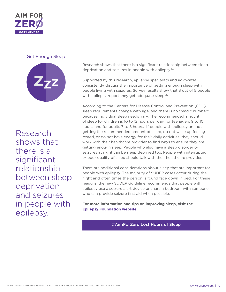

#### Get Enough Sleep



Research shows that there is a significant relationship between sleep deprivation and seizures in people with epilepsy.

Research shows that there is a significant relationship between sleep deprivation and seizures in people with epilepsy.<sup>24</sup>

Supported by this research, epilepsy specialists and advocates consistently discuss the importance of getting enough sleep with people living with seizures. Survey results show that 3 out of 5 people with epilepsy report they get adequate sleep.<sup>25</sup>

According to the Centers for Disease Control and Prevention (CDC), sleep requirements change with age, and there is no "magic number" because individual sleep needs vary. The recommended amount of sleep for children is 10 to 12 hours per day, for teenagers 9 to 10 hours, and for adults 7 to 8 hours. If people with epilepsy are not getting the recommended amount of sleep, do not wake up feeling rested, or do not have energy for their daily activities, they should work with their healthcare provider to find ways to ensure they are getting enough sleep. People who also have a sleep disorder or seizures at night can be sleep deprived too. People with interrupted or poor quality of sleep should talk with their healthcare provider.

There are additional considerations about sleep that are important for people with epilepsy. The majority of SUDEP cases occur during the night and often times the person is found face down in bed. For these reasons, the new SUDEP Guideline recommends that people with epilepsy use a seizure alert device or share a bedroom with someone who can provide seizure first aid when possible.

**For more information and tips on improving sleep, visit the [Epilepsy Foundation website](https://www.epilepsy.com/learn/triggers-seizures/lack-sleep-and-epilepsy)**.

#AimForZero Lost Hours of Sleep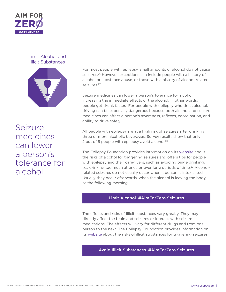

#### Limit Alcohol and Illicit Substances



Seizure medicines can lower a person's tolerance for alcohol.

For most people with epilepsy, small amounts of alcohol do not cause seizures.<sup>26</sup> However, exceptions can include people with a history of alcohol or substance abuse, or those with a history of alcohol-related seizures.27

Seizure medicines can lower a person's tolerance for alcohol, increasing the immediate effects of the alcohol. In other words, people get drunk faster. For people with epilepsy who drink alcohol, driving can be especially dangerous because both alcohol and seizure medicines can affect a person's awareness, reflexes, coordination, and ability to drive safely.

All people with epilepsy are at a high risk of seizures after drinking three or more alcoholic beverages. Survey results show that only 2 out of 5 people with epilepsy avoid alcohol.<sup>28</sup>

The Epilepsy Foundation provides information on its [website](https://www.epilepsy.com/learn/triggers-seizures/alcohol) about the risks of alcohol for triggering seizures and offers tips for people with epilepsy and their caregivers, such as avoiding binge drinking, i.e., drinking too much at once or over long periods of time.<sup>29</sup> Alcoholrelated seizures do not usually occur when a person is intoxicated. Usually they occur afterwards, when the alcohol is leaving the body, or the following morning.

#### Limit Alcohol. #AimForZero Seizures

The effects and risks of illicit substances vary greatly. They may directly affect the brain and seizures or interact with seizure medications. The effects will vary for different drugs and from one person to the next. The Epilepsy Foundation provides information on its [website](https://www.epilepsy.com/learn/triggers-seizures/drug-abuse) about the risks of illicit substances for triggering seizures.

Avoid Illicit Substances. #AimForZero Seizures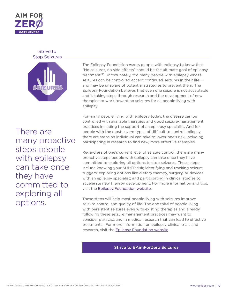

#### Strive to Stop Seizures



There are many proactive steps people with epilepsy can take once they have committed to exploring all options.

The Epilepsy Foundation wants people with epilepsy to know that "No seizures, no side effects" should be the ultimate goal of epilepsy treatment.<sup>30</sup> Unfortunately, too many people with epilepsy whose seizures can be controlled accept continued seizures in their life and may be unaware of potential strategies to prevent them. The Epilepsy Foundation believes that even one seizure is not acceptable and is taking steps through research and the development of new therapies to work toward no seizures for all people living with epilepsy.

For many people living with epilepsy today, the disease can be controlled with available therapies and good seizure-management practices including the support of an epilepsy specialist. And for people with the most severe types of difficult to control epilepsy, there are steps an individual can take to lower one's risk, including participating in research to find new, more effective therapies.

Regardless of one's current level of seizure control, there are many proactive steps people with epilepsy can take once they have committed to exploring all options to stop seizures. These steps include knowing your SUDEP risk; identifying and tracking seizure triggers; exploring options like dietary therapy, surgery, or devices with an epilepsy specialist; and participating in clinical studies to accelerate new therapy development. For more information and tips, visit the [Epilepsy Foundation website.](https://www.epilepsy.com/aimforzero/strive-stop-seizures)

These steps will help most people living with seizures improve seizure control and quality of life. The one third of people living with persistent seizures even with existing therapies and already following these seizure management practices may want to consider participating in medical research that can lead to effective treatments. For more information on epilepsy clinical trials and research, visit the [Epilepsy Foundation website](https://www.epilepsy.com/make-difference/research-and-new-therapies/clinical-trials-portal-overview).

#### Strive to #AimForZero Seizures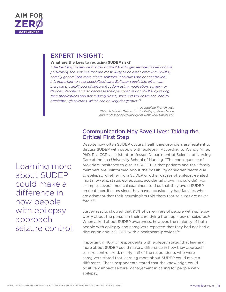

#### **What are the keys to reducing SUDEP risk?**

*"The best way to reduce the risk of SUDEP is to get seizures under control, particularly the seizures that are most likely to be associated with SUDEP, namely generalized tonic-clonic seizures. If seizures are not controlled, it is important to seek specialized care. Epilepsy specialists often can increase the likelihood of seizure freedom using medication, surgery, or devices. People can also decrease their personal risk of SUDEP by taking their medications and not missing doses, since missed doses can lead to breakthrough seizures, which can be very dangerous."31*

> *- Jacqueline French, MD, Chief Scientific Officer for the Epilepsy Foundation and Professor of Neurology at New York University.*

### Communication May Save Lives: Taking the Critical First Step

Despite how often SUDEP occurs, healthcare providers are hesitant to discuss SUDEP with people with epilepsy. According to Wendy Miller, PhD, RN, CCRN, assistant professor, Department of Science of Nursing Care at Indiana University School of Nursing, "The consequence of providers' hesitance to discuss SUDEP is that patients and their family members are uninformed about the possibility of sudden death due to epilepsy, whether from SUDEP or other causes of epilepsy-related mortality (e.g., status epilepticus, accidental drowning, suicide). For example, several medical examiners told us that they avoid SUDEP on death certificates since they have occasionally had families who are adamant that their neurologists told them that seizures are never fatal."32

Survey results showed that 95% of caregivers of people with epilepsy worry about the person in their care dying from epilepsy or seizures.<sup>33</sup> When asked about SUDEP awareness, however, the majority of both people with epilepsy and caregivers reported that they had not had a discussion about SUDEP with a healthcare provider.<sup>34</sup>

Importantly, 40% of respondents with epilepsy stated that learning more about SUDEP could make a difference in how they approach seizure control. And, nearly half of the respondents who were caregivers stated that learning more about SUDEP could make a difference. These respondents stated that the knowledge could positively impact seizure management in caring for people with epilepsy.

Learning more about SUDEP could make a difference in how people with epilepsy approach seizure control.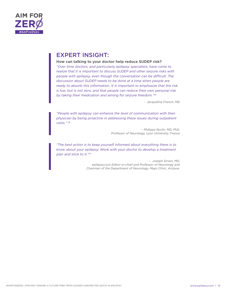

#### **How can talking to your doctor help reduce SUDEP risk?**

*"Over time doctors, and particularly epilepsy specialists, have come to realize that it is important to discuss SUDEP and other seizure risks with people with epilepsy, even though the conversation can be difficult. The discussion about SUDEP needs to be done at a time when people are ready to absorb this information. It is important to emphasize that the risk is low, but is not zero, and that people can reduce their own personal risk by taking their medication and aiming for seizure freedom."35*

*- Jacqueline French, MD* 

*"People with epilepsy can enhance the level of communication with their physician by being proactive in addressing these issues during outpatient visits." 36*

> *- Philippe Ryvlin, MD, PhD, Professor of Neurology, Lyon University, France*

*"The best action is to keep yourself informed about everything there is to know about your epilepsy. Work with your doctor to develop a treatment plan and stick to it."37*

> *- Joseph Sirven, MD, epilepsy.com Editor-in-chief and Professor of Neurology and Chairman of the Department of Neurology, Mayo Clinic, Arizona.*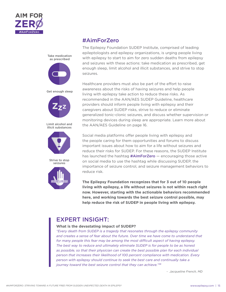



## #AimForZero

The Epilepsy Foundation SUDEP Institute, comprised of leading epileptologists and epilepsy organizations, is urging people living with epilepsy to start to aim for zero sudden deaths from epilepsy and seizures with these actions: take medication as prescribed, get enough sleep, limit alcohol and illicit substances, and strive to stop seizures.

Healthcare providers must also be part of the effort to raise awareness about the risks of having seizures and help people living with epilepsy take action to reduce these risks. As recommended in the AAN/AES SUDEP Guideline, healthcare providers should inform people living with epilepsy and their caregivers about SUDEP risks, strive to reduce or eliminate generalized tonic-clonic seizures, and discuss whether supervision or monitoring devices during sleep are appropriate. Learn more about the AAN/AES Guideline on page 16.

Social media platforms offer people living with epilepsy and the people caring for them opportunities and forums to discuss important issues about how to aim for a life without seizures and reduce their risks for SUDEP. For these reasons, the SUDEP Institute has launched the hashtag  $\#AimForZero - encoding those active$ on social media to use the hashtag while discussing SUDEP, the importance of seizure control, and seizure management behaviors to reduce risk.

**The Epilepsy Foundation recognizes that for 3 out of 10 people living with epilepsy, a life without seizures is not within reach right now. However, starting with the actionable behaviors recommended here, and working towards the best seizure control possible, may help reduce the risk of SUDEP in people living with epilepsy.**

# EXPERT INSIGHT:

#### **What is the devastating impact of SUDEP?**

*"Every death from SUDEP is a tragedy that resonates through the epilepsy community and creates a sense of fear about the future. Over time we have come to understand that for many people this fear may be among the most difficult aspect of having epilepsy. The best way to reduce and ultimately eliminate SUDEP is for people to be as honest as possible, so that their physician can create the best possible plan for each individual person that increases their likelihood of 100 percent compliance with medication. Every person with epilepsy should continue to seek the best care and continually take a journey toward the best seizure control that they can achieve."38*

*- Jacqueline French, MD*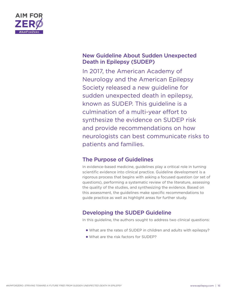

# New Guideline About Sudden Unexpected Death in Epilepsy (SUDEP)

In 2017, the American Academy of Neurology and the American Epilepsy Society released a new guideline for sudden unexpected death in epilepsy, known as SUDEP. This guideline is a culmination of a multi-year effort to synthesize the evidence on SUDEP risk and provide recommendations on how neurologists can best communicate risks to patients and families.

# The Purpose of Guidelines

In evidence-based medicine, guidelines play a critical role in turning scientific evidence into clinical practice. Guideline development is a rigorous process that begins with asking a focused question (or set of questions), performing a systematic review of the literature, assessing the quality of the studies, and synthesizing the evidence. Based on this assessment, the guidelines make specific recommendations to guide practice as well as highlight areas for further study.

# Developing the SUDEP Guideline

In this guideline, the authors sought to address two clinical questions:

- What are the rates of SUDEP in children and adults with epilepsy?
- What are the risk factors for SUDEP?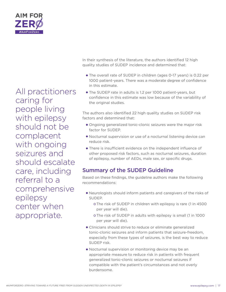

All practitioners caring for people living with epilepsy should not be complacent with ongoing seizures and should escalate care, including referral to a comprehensive epilepsy center when appropriate.

In their synthesis of the literature, the authors identified 12 high quality studies of SUDEP incidence and determined that:

- The overall rate of SUDEP in children (ages 0-17 years) is 0.22 per 1000 patient-years. There was a moderate degree of confidence in this estimate.
- The SUDEP rate in adults is 1.2 per 1000 patient-years, but confidence in this estimate was low because of the variability of the original studies.

The authors also identified 22 high quality studies on SUDEP risk factors and determined that:

- Ongoing generalized tonic-clonic seizures were the major risk factor for SUDEP.
- Nocturnal supervision or use of a nocturnal listening device can reduce risk.
- There is insufficient evidence on the independent influence of other proposed risk factors, such as nocturnal seizures, duration of epilepsy, number of AEDs, male sex, or specific drugs.

# Summary of the SUDEP Guideline

Based on these findings, the guideline authors make the following recommendations:

- Neurologists should inform patients and caregivers of the risks of SUDEP.
	- o The risk of SUDEP in children with epilepsy is rare (1 in 4500) per year will die).
	- o The risk of SUDEP in adults with epilepsy is small (1 in 1000) per year will die).
- Clinicians should strive to reduce or eliminate generalized tonic-clonic seizures and inform patients that seizure-freedom, especially from these types of seizures, is the best way to reduce SUDEP risk.
- Nocturnal supervision or monitoring device may be an appropriate measure to reduce risk in patients with frequent generalized tonic-clonic seizures or nocturnal seizures if compatible with the patient's circumstances and not overly burdensome.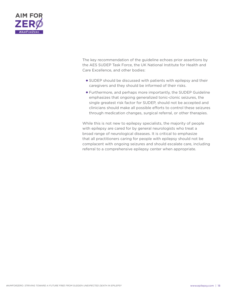

The key recommendation of the guideline echoes prior assertions by the AES SUDEP Task Force, the UK National Institute for Health and Care Excellence, and other bodies:

- SUDEP should be discussed with patients with epilepsy and their caregivers and they should be informed of their risks.
- Furthermore, and perhaps more importantly, the SUDEP Guideline emphasizes that ongoing generalized tonic-clonic seizures, the single greatest risk factor for SUDEP, should not be accepted and clinicians should make all possible efforts to control these seizures through medication changes, surgical referral, or other therapies.

While this is not new to epilepsy specialists, the majority of people with epilepsy are cared for by general neurologists who treat a broad range of neurological diseases. It is critical to emphasize that all practitioners caring for people with epilepsy should not be complacent with ongoing seizures and should escalate care, including referral to a comprehensive epilepsy center when appropriate.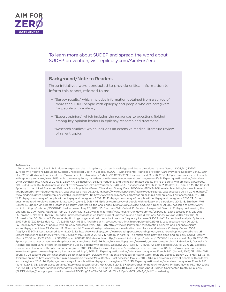

#### To learn more about SUDEP and spread the word about SUDEP prevention, visit epilepsy.com/AimForZero

#### Background/Note to Readers

Three initiatives were conducted to provide critical information to inform this report, referred to as:

- + "Survey results," which includes information obtained from a survey of more than 1,000 people with epilepsy and people who are caregivers for people with epilepsy
- + "Expert opinion," which includes the responses to questions fielded among key opinion leaders in epilepsy research and treatment
- + "Research studies," which includes an extensive medical literature review of salient topics

#### **References**

**1**. Tomson T, Nashef L, Ryvlin P. Sudden unexpected death in epilepsy: current knowledge and future directions. *Lancet Neurol*. 2008;7(11):1021-31. **2.** Miller WR, Young N. Discussing Sudden Unexpected Death in Epilepsy (SUDEP) with Patients: Practices of Health-Care Providers. Epilepsy Behav. 2014 Mar: 32: 38-41. Available online at http;//www.ncbi.nlm.nih.gov/pmc/articles/PMC3985269/. Last accessed May 26, 2016. **3.** Epilepsy.com survey of people with epilepsy and caregivers. 2016. **4.** http://www.epilepsy.com/dareto-initiate-sudep-conversation-it-may-save-life **5.** Expert questionnaires/interviews: Orrin Devinsky, MD. (June 2, 2016) **6.** Leidy NK, Elixhauser A. Seizure frequency and the health-related quality of life of adults with epilepsy. *Neurology*. 1999 Jul 13;53(1): 162-6. Available online at http://www.ncbi.nlm.gov/pubmed/10408553. Last accessed May 26, 2016. **7.** Begley CE, Famulari M. The Cost of Epilepsy in the United States: An Estimate from Population-Based Clinical and Survey Data. 2000 Mar; 41(3):342-51. Available at http://www.ncbi.nlm.nih. gov/pubmed/?term=Begley+famulari. Last accessed May 26, 2016. **8.** http://www.epilepsy.com/learn/types-seizures. Last accessed July 1, 2016. **9.** http:// www.ninds.nih.gov/disorders/epilepsy/detail\_epilepsy.htm **10.** http://www.epilepsy.com/learn/treating-seizures-and-epilepsy. Last accessed July 1, 2016. **11.** Epilepsy.com survey of people with epilepsy and caregivers. 2016. **12.** Epilepsy.com survey of people with epilepsy and caregivers. 2016. **13.** Expert questionnaires/interviews: Samden Lhatoo, MD. (June 6, 2016) **14**. Epilepsy.com survey of people with epilepsy and caregivers. 2016. **15.** Smithson WH, Colwell B. Sudden Unexpected Death in Epilepsy: Addressing the Challenges. *Curr Neurol Neurosci Rep*. 2014 Dec;14(12):502. Available at http://www. ncbi.nlm.nih.gov/pubmed/25300243. Last accessed May 26, 2016. **16.** Smithson WH, Colwell B. Sudden Unexpected Death in Epilepsy: Addressing the Challenges. *Curr Neurol Neurosci Rep*. 2014 Dec;14(12):502. Available at http://www.ncbi.nlm.nih.gov/pubmed/25300243. Last accessed May 26, 2016. **17.** Tomson T, Nashef L, Ryvlin P. Sudden unexpected death in epilepsy: current knowledge and future directions. *Lancet Neurol*. 2008;7(11):1021-31. **18**. Hesdorffer DC, Tomson T. Do antiepileptic drugs or generalized tonic-clonic seizure frequency increase SUDEP risk? A combined analysis. Epilepsia. 2012 Feb;53(2):249-52. doi: 10.1111/j.1528-1167.2011.03354. Available at http://www.ncbi.nlm.nih.gov/pubmed/22191685. Last accessed May 26, 2016. **19.** Epilepsy.com survey of people with epilepsy and caregivers. 2016. **20.** http://www.epilepsy.com/learn/treating-seizures-and-epilepsy/seizureand-epilepsy-medicines **21.** Cramer JA, Glassman, M. The relationship between poor medication compliance and seizures. *Epilepsy Behav*. 2002 Aug:3(4):338-342. Last accessed July 18, 2016. **22.** http://www.epilepsy.com/learn/treating-seizures-and-epilepsy/seizure-and-epilepsy-medicines **23**. Expert questionnaires/interviews: Orrin Devinsky, MD. (June 2, 2016) **24.** Kotagal P, Yardi N. The relationship between sleep and epilepsy. *Semin Pediatr Neurol*. 2008 Jun;15(2):42-9. doi: 10.1016/j.spen.2008.03.007. Available at http://www.ncbi.nlm.nih.gov/pubmed/18555190. Last accessed May 26, 2016. **25.** Epilepsy.com survey of people with epilepsy and caregivers. 2016. **26**. http://www.epilepsy.com/learn/triggers-seizures/alcohol **27.** Gordon E, Devinsky O. Alcohol and marijuana: effects on epilepsy and use by patient with epilepsy. *Epilepsia* 2001 Oct:42(10):1266-72. Last accessed July 18, 2016. **28.** Epilepsy. com survey of people with epilepsy and caregivers. 2016. **29.** http://www.epilepsy.com/learn/triggers-seizures/alcohol **30.** http://www.epilepsy.com/ learn/treating-seizures-and-epilepsy. Last accessed July 1, 2016. **31.** Expert questionnaires/interviews: Jacqueline French, MD. (June 4, 2016) **32.** Miller WR, Young N. Discussing Sudden Unexpected Death in Epilepsy (SUDEP) with Patients: Practices of Health-Care Providers. Epilepsy Behav. 2014 Mar: 32: 38-41. Available online at http;//www.ncbi.nlm.nih.gov/pmc/articles/PMC3985269/. Last accessed May 26, 2016. **33.** Epilepsy.com survey of people with epilepsy and caregivers. 2016. **34.** Epilepsy.com survey of people with epilepsy and caregivers. 2016. **35**. Expert questionnaires/interviews: Jacqueline French, MD. (June 4, 2016) **36**. Expert questionnaires/interviews: Joseph Sirvin, MD. (June 1, 2016) **37.** Expert questionnaires/interviews: Philippe Ryvlin, MD, PhD. (June 7, 2016) **38**. Expert questionnaires/interviews: Jacqueline French, MD. (June 4, 2016) **39.** New Guideline About Sudden Unexpected Death in Epilepsy (SUDEP) https://docs.google.com/document/d/1IQNEqg32oxT9wZddeCuI6mTLX5cFpKsIy853dyGe2g0/edit?usp=sharing